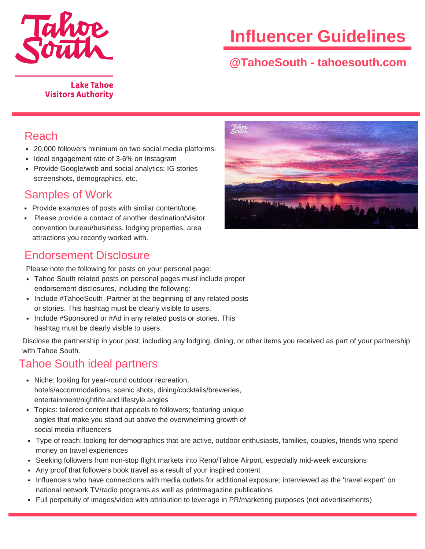

# **Influencer Guidelines**

# **@TahoeSouth - tahoesouth.com**

#### **Lake Tahoe Visitors Authority**

#### Reach

- 20,000 followers minimum on two social media platforms.
- Ideal engagement rate of 3-6% on Instagram
- Provide Google/web and social analytics: IG stories screenshots, demographics, etc.

## Samples of Work

- Provide examples of posts with similar content/tone.
- Please provide a contact of another destination/visitor convention bureau/business, lodging properties, area attractions you recently worked with.

## Endorsement Disclosure

Please note the following for posts on your personal page:

- Tahoe South related posts on personal pages must include proper endorsement disclosures, including the following:
- Include #TahoeSouth Partner at the beginning of any related posts or stories. This hashtag must be clearly visible to users.
- Include #Sponsored or #Ad in any related posts or stories. This hashtag must be clearly visible to users.

Disclose the partnership in your post, including any lodging, dining, or other items you received as part of your partnership with Tahoe South.

## Tahoe South ideal partners

- Niche: looking for year-round outdoor recreation, hotels/accommodations, scenic shots, dining/cocktails/breweries, entertainment/nightlife and lifestyle angles
- Topics: tailored content that appeals to followers; featuring unique angles that make you stand out above the overwhelming growth of social media influencers
- Type of reach: looking for demographics that are active, outdoor enthusiasts, families, couples, friends who spend money on travel experiences
- Seeking followers from non-stop flight markets into Reno/Tahoe Airport, especially mid-week excursions
- Any proof that followers book travel as a result of your inspired content
- Influencers who have connections with media outlets for additional exposure; interviewed as the 'travel expert' on national network TV/radio programs as well as print/magazine publications
- Full perpetuity of images/video with attribution to leverage in PR/marketing purposes (not advertisements)